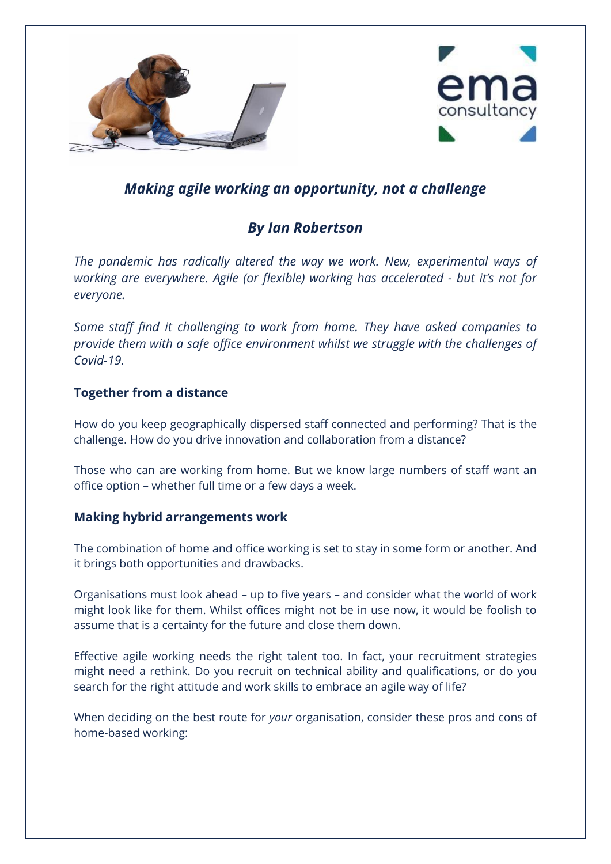



# *Making agile working an opportunity, not a challenge*

# *By Ian Robertson*

*The pandemic has radically altered the way we work. New, experimental ways of working are everywhere. Agile (or flexible) working has accelerated - but it's not for everyone.* 

*Some staff find it challenging to work from home. They have asked companies to provide them with a safe office environment whilst we struggle with the challenges of Covid-19.*

## **Together from a distance**

How do you keep geographically dispersed staff connected and performing? That is the challenge. How do you drive innovation and collaboration from a distance?

Those who can are working from home. But we know large numbers of staff want an office option – whether full time or a few days a week.

## **Making hybrid arrangements work**

The combination of home and office working is set to stay in some form or another. And it brings both opportunities and drawbacks.

Organisations must look ahead – up to five years – and consider what the world of work might look like for them. Whilst offices might not be in use now, it would be foolish to assume that is a certainty for the future and close them down.

Effective agile working needs the right talent too. In fact, your recruitment strategies might need a rethink. Do you recruit on technical ability and qualifications, or do you search for the right attitude and work skills to embrace an agile way of life?

When deciding on the best route for *your* organisation, consider these pros and cons of home-based working: